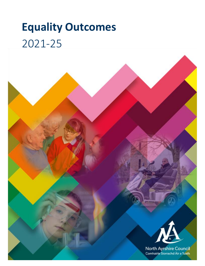# **Equality Outcomes** 2021-25



North Ayrshire Council Comhairle Siorrachd Àir a Tuath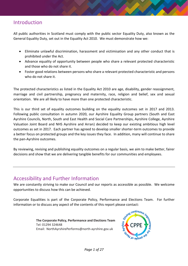### Introduction

All public authorities in Scotland must comply with the public sector Equality Duty, also known as the General Equality Duty, set out in the Equality Act 2010. We must demonstrate how we:

- Eliminate unlawful discrimination, harassment and victimisation and any other conduct that is prohibited under the Act.
- Advance equality of opportunity between people who share a relevant protected characteristic and those who do not share it.
- Foster good relations between persons who share a relevant protected characteristic and persons who do not share it.

The protected characteristics as listed in the Equality Act 2010 are age, disability, gender reassignment, marriage and civil partnership, pregnancy and maternity, race, religion and belief, sex and sexual orientation. We are all likely to have more than one protected characteristic.

This is our third set of equality outcomes building on the equality outcomes set in 2017 and 2013. Following public consultation in autumn 2020, our Ayrshire Equality Group partners (South and East Ayrshire Councils, North, South and East Health and Social Care Partnerships, Ayrshire College, Ayrshire Valuation Joint Board and NHS Ayrshire and Arran) decided to keep our existing ambitious high level outcomes as set in 2017. Each partner has agreed to develop smaller shorter-term outcomes to provide a better focus on protected groups and the key issues they face. In addition, many will continue to share the pan-Ayrshire outcomes.

By reviewing, revising and publishing equality outcomes on a regular basis, we aim to make better, fairer decisions and show that we are delivering tangible benefits for our communities and employees.

#### Accessibility and Further Information

We are constantly striving to make our Council and our reports as accessible as possible. We welcome opportunities to discuss how this can be achieved.

Corporate Equalities is part of the Corporate Policy, Performance and Elections Team. For further information or to discuss any aspect of the contents of this report please contact:

> **The Corporate Policy, Performance and Elections Team** Tel: 01294 324648 Email: NorthAyrshirePerforms@north-ayrshire.gov.uk

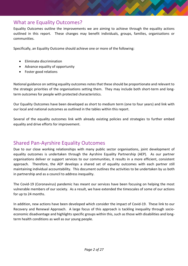## What are Equality Outcomes?

Equality Outcomes outline the improvements we are aiming to achieve through the equality actions outlined in this report. These changes may benefit individuals, groups, families, organisations or communities.

Specifically, an Equality Outcome should achieve one or more of the following:

- Eliminate discrimination
- Advance equality of opportunity
- Foster good relations

National guidance on setting equality outcomes notes that these should be proportionate and relevant to the strategic priorities of the organisations setting them. They may include both short-term and longterm outcomes for people with protected characteristics.

Our Equality Outcomes have been developed as short to medium term (one to four years) and link with our local and national outcomes as outlined in the tables within this report.

Several of the equality outcomes link with already existing policies and strategies to further embed equality and drive efforts for improvement.

### Shared Pan-Ayrshire Equality Outcomes

Due to our close working relationships with many public sector organisations, joint development of equality outcomes is undertaken through the Ayrshire Equality Partnership (AEP). As our partner organisations deliver or support services to our communities, it results in a more efficient, consistent approach. Therefore, the AEP develops a shared set of equality outcomes with each partner still maintaining individual accountability. This document outlines the activities to be undertaken by us both in partnership and as a council to address inequality.

The Covid-19 (Coronavirus) pandemic has meant our services have been focusing on helping the most vulnerable members of our society. As a result, we have extended the timescales of some of our actions for up to 24 months.

In addition, new actions have been developed which consider the impact of Covid-19. These link to our Recovery and Renewal Approach. A large focus of this approach is tackling inequality through socioeconomic disadvantage and highlights specific groups within this, such as those with disabilities and longterm health conditions as well as our young people.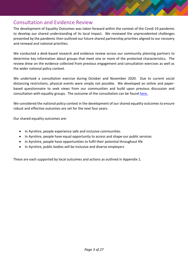### Consultation and Evidence Review

The development of Equality Outcomes was taken forward within the context of the Covid-19 pandemic to develop our shared understanding of its local impact. We reviewed the unprecedented challenges presented by the pandemic then outlined our future shared partnership priorities aligned to our recovery and renewal and national priorities.

We conducted a desk-based research and evidence review across our community planning partners to determine key information about groups that meet one or more of the protected characteristics. The review drew on the evidence collected from previous engagement and consultation exercises as well as the wider national policy context.

We undertook a consultation exercise during October and November 2020. Due to current social distancing restrictions, physical events were simply not possible. We developed an online and paperbased questionnaire to seek views from our communities and build upon previous discussion and consultation with equality groups. The outcome of the consultation can be found [here.](https://www.north-ayrshire.gov.uk/council/strategies-plans-and-policies/equality-policy-and-performance.aspx) 

We considered the national policy context in the development of our shared equality outcomes to ensure robust and effective outcomes are set for the next four years.

Our shared equality outcomes are:

- In Ayrshire, people experience safe and inclusive communities
- In Ayrshire, people have equal opportunity to access and shape our public services
- In Ayrshire, people have opportunities to fulfil their potential throughout life
- In Ayrshire, public bodies will be inclusive and diverse employers

These are each supported by local outcomes and actions as outlined in Appendix 1.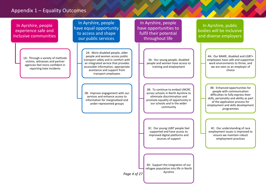#### Appendix 1 – Equality Outcomes

In Ayrshire, people experience safe and inclusive communities

> 1A: Through a variety of methods victims, witnesses and partner agencies feel more confident in reporting hate incidents

In Ayrshire, people have equal opportunity to access and shape our public services

> 2A: More disabled people, older people and women access public transport safely and in comfort with an integrated service that provides accessible information, appropriate assistance and support from transport employees

2B: Improve engagement with our services and enhance access to information for marginalised and under-represented groups

In Ayrshire, people have opportunities to fulfil their potential throughout life

> 3A: Our young people, disabled people and women have access to training and employment

3B: To continue to embed UNCRC across schools in North Ayrshire to eliminate discrimination and promote equality of opportunity in our schools and in the wider community

3C: Our young LGBT people feel supported and have access to improved digital platforms and sources of support

In Ayrshire, public bodies will be inclusive and diverse employers

> 4A: Our BAME, disabled and LGBT+ employees have safe and supportive work environments to thrive, and we are seen as an employer of choice

4B: Enhanced opportunities for people with communication difficulties to fully express their skills, personality and ability as part of the application process for employment and skills development programmes

4C: Our understanding of race employment issues is improved to ensure we maintain robust employment practices

3D: Support the integration of our refugee population into life in North Ayrshire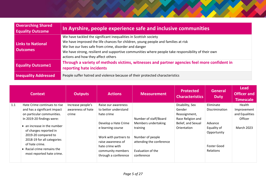| <b>Overarching Shared</b><br><b>Equality Outcome</b> | In Ayrshire, people experience safe and inclusive communities                                                                                                                                                                                                                                                                                               |
|------------------------------------------------------|-------------------------------------------------------------------------------------------------------------------------------------------------------------------------------------------------------------------------------------------------------------------------------------------------------------------------------------------------------------|
| <b>Links to National</b><br><b>Outcomes</b>          | We have tackled the significant inequalities in Scottish society<br>We have improved the life chances for children, young people and families at risk<br>We live our lives safe from crime, disorder and danger<br>We have strong, resilient and supportive communities where people take responsibility of their own<br>actions and how they affect others |
| <b>Equality Outcome1</b>                             | Through a variety of methods victims, witnesses and partner agencies feel more confident in<br>reporting hate incidents                                                                                                                                                                                                                                     |
| <b>Inequality Addressed</b>                          | People suffer hatred and violence because of their protected characteristics                                                                                                                                                                                                                                                                                |

|     | <b>Context</b>                                                                                                                                                                          | <b>Outputs</b>             | <b>Actions</b>                                                                           | <b>Measurement</b>                                                              | <b>Protected</b><br><b>Characteristics</b> | <b>General</b><br><b>Duty</b>         | <b>Lead</b><br><b>Officer and</b><br><b>Timescale</b> |
|-----|-----------------------------------------------------------------------------------------------------------------------------------------------------------------------------------------|----------------------------|------------------------------------------------------------------------------------------|---------------------------------------------------------------------------------|--------------------------------------------|---------------------------------------|-------------------------------------------------------|
| 1.1 | Hate Crime continues to rise                                                                                                                                                            | Increase people's          | Raise our awareness                                                                      |                                                                                 | Disability, Sex                            | Eliminate                             | Health                                                |
|     | and has a significant impact<br>on particular communities.                                                                                                                              | awareness of hate<br>crime | to better understand<br>hate crime                                                       |                                                                                 | Gender<br>Reassignment,                    | Discrimination                        | Improvement<br>and Equalities                         |
|     | In 2019-20 findings were:                                                                                                                                                               |                            |                                                                                          | Number of staff/Board                                                           | Race Religion and                          |                                       | Officer                                               |
|     | • an increase in the number<br>of charges reported in<br>2019-20 compared to<br>2018-19 for all categories<br>of hate crime.<br>• Racial crime remains the<br>most reported hate crime. |                            | Develop a Hate Crime<br>e-learning course<br>Work with partners to<br>raise awareness of | Members undertaking<br>training<br>Number of people<br>attending the conference | Belief, and Sexual<br>Orientation          | Advance<br>Equality of<br>Opportunity | <b>March 2023</b>                                     |
|     |                                                                                                                                                                                         |                            | hate crime with<br>community members<br>through a conference                             | Evaluation of the<br>conference                                                 |                                            | Foster Good<br>Relations              |                                                       |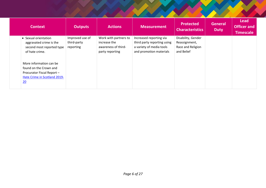| <b>Context</b>                                                                                                                                                                                                          | <b>Outputs</b>                              | <b>Actions</b>                                                                  | <b>Measurement</b>                                                                                            | <b>Protected</b><br><b>Characteristics</b>                             | <b>General</b><br><b>Duty</b> | <b>Lead</b><br><b>Officer and</b><br><b>Timescale</b> |
|-------------------------------------------------------------------------------------------------------------------------------------------------------------------------------------------------------------------------|---------------------------------------------|---------------------------------------------------------------------------------|---------------------------------------------------------------------------------------------------------------|------------------------------------------------------------------------|-------------------------------|-------------------------------------------------------|
| • Sexual orientation<br>aggravated crime is the<br>second most reported type<br>of hate crime.<br>More information can be<br>found on the Crown and<br>Procurator Fiscal Report -<br>Hate Crime in Scotland 2019-<br>20 | Improved use of<br>third-party<br>reporting | Work with partners to<br>increase the<br>awareness of third-<br>party reporting | Increased reporting via<br>third party reporting using<br>a variety of media tools<br>and promotion materials | Disability, Gender<br>Reassignment,<br>Race and Religion<br>and Belief |                               |                                                       |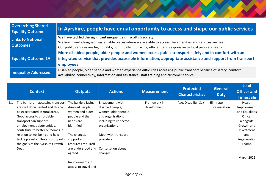| <b>Overarching Shared</b><br><b>Equality Outcome</b> | In Ayrshire, people have equal opportunity to access and shape our public services                                                                                                                                                                                                               |
|------------------------------------------------------|--------------------------------------------------------------------------------------------------------------------------------------------------------------------------------------------------------------------------------------------------------------------------------------------------|
| <b>Links to National</b><br><b>Outcomes</b>          | We have tackled the significant inequalities in Scottish society<br>We live in well-designed, sustainable places where we are able to access the amenities and services we need<br>Our public services are high quality, continually improving, efficient and responsive to local people's needs |
| <b>Equality Outcome 2A</b>                           | More disabled people, older people and women access public transport safely and in comfort with an<br>integrated service that provides accessible information, appropriate assistance and support from transport<br>employees                                                                    |
| <b>Inequality Addressed</b>                          | Disabled people, older people and women experience difficulties accessing public transport because of safety, comfort,<br>availability, connectivity, information and assistance, staff training and customer service                                                                            |

|     | <b>Context</b>                                                          | <b>Outputs</b>                         | <b>Actions</b>                      | <b>Measurement</b>           | <b>Protected</b><br><b>Characteristics</b> | <b>General</b><br><b>Duty</b> | <b>Lead</b><br><b>Officer and</b><br><b>Timescale</b> |
|-----|-------------------------------------------------------------------------|----------------------------------------|-------------------------------------|------------------------------|--------------------------------------------|-------------------------------|-------------------------------------------------------|
| 2.1 | The barriers in accessing transport<br>are well documented and this can | The barriers facing<br>disabled people | Engagement with<br>disabled people, | Framework in<br>development. | Age, Disability, Sex                       | Eliminate<br>Discrimination   | Health<br>Improvement                                 |
|     | be exacerbated in rural areas.                                          | women and older                        | women, older people                 |                              |                                            |                               | and Equalities                                        |
|     | Good access to affordable                                               | people and their                       | and organisations                   |                              |                                            |                               | <b>Officer</b>                                        |
|     | transport can support                                                   | needs are                              | including third sector              |                              |                                            |                               | alongside                                             |
|     | employment opportunities,                                               | identified                             | organisations                       |                              |                                            |                               | Growth and                                            |
|     | contribute to better outcomes in                                        |                                        |                                     |                              |                                            |                               | Investment                                            |
|     | relation to wellbeing and help                                          | The changes,                           | Meet with transport                 |                              |                                            |                               | and                                                   |
|     | tackle poverty. This also supports                                      | support and                            | providers                           |                              |                                            |                               | Regeneration                                          |
|     | the goals of the Ayrshire Growth                                        | resources required                     |                                     |                              |                                            |                               | Teams.                                                |
|     | Deal.                                                                   | are understood and                     | Consultation about                  |                              |                                            |                               |                                                       |
|     |                                                                         | agreed.                                | changes                             |                              |                                            |                               | <b>March 2025</b>                                     |
|     |                                                                         | Improvements in                        |                                     |                              |                                            |                               |                                                       |
|     |                                                                         | access to travel and                   |                                     |                              |                                            |                               |                                                       |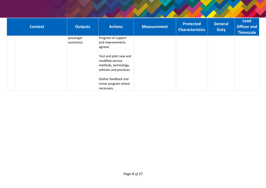| <b>Context</b> | <b>Outputs</b>           | <b>Actions</b>                                                                                                                                    | <b>Measurement</b> | <b>Protected</b><br><b>Characteristics</b> | <b>General</b><br><b>Duty</b> | <b>Lead</b><br><b>Officer and</b><br><b>Timescale</b> |
|----------------|--------------------------|---------------------------------------------------------------------------------------------------------------------------------------------------|--------------------|--------------------------------------------|-------------------------------|-------------------------------------------------------|
|                | passenger<br>assistance. | Program of support<br>and improvements<br>agreed.<br>Test and pilot new and<br>modified service<br>methods, technology,<br>vehicles and practices |                    |                                            |                               |                                                       |
|                |                          | Gather feedback and<br>revise program where<br>necessary.                                                                                         |                    |                                            |                               |                                                       |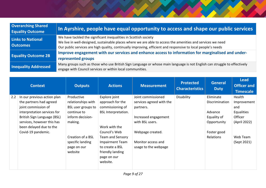| <b>Overarching Shared</b><br><b>Equality Outcome</b> | In Ayrshire, people have equal opportunity to access and shape our public services                                                                                                                                                                                                               |
|------------------------------------------------------|--------------------------------------------------------------------------------------------------------------------------------------------------------------------------------------------------------------------------------------------------------------------------------------------------|
| <b>Links to National</b><br><b>Outcomes</b>          | We have tackled the significant inequalities in Scottish society<br>We live in well-designed, sustainable places where we are able to access the amenities and services we need<br>Our public services are high quality, continually improving, efficient and responsive to local people's needs |
| <b>Equality Outcome 2B</b>                           | Improve engagement with our services and enhance access to information for marginalised and under-<br>represented groups                                                                                                                                                                         |
| <b>Inequality Addressed</b>                          | Many groups such as those who use British Sign Language or whose main language is not English can struggle to effectively<br>engage with Council services or within local communities.                                                                                                           |

|     | <b>Context</b>              | <b>Outputs</b>                  | <b>Actions</b>                            | <b>Measurement</b>                         | <b>Protected</b><br><b>Characteristics</b> | General<br><b>Duty</b> | <b>Lead</b><br><b>Officer and</b><br><b>Timescale</b> |
|-----|-----------------------------|---------------------------------|-------------------------------------------|--------------------------------------------|--------------------------------------------|------------------------|-------------------------------------------------------|
| 2.2 | In our previous action plan | Productive                      | Explore joint                             | Joint commissioned                         | Disability                                 | Eliminate              | Health                                                |
|     | the partners had agreed     | relationships with              | approach for the                          | services agreed with the                   |                                            | Discrimination         | Improvement                                           |
|     | joint commission of         | BSL user groups to              | commissioning of                          | partners.                                  |                                            |                        | and                                                   |
|     | interpretation services for | continue to                     | <b>BSL Interpretation.</b>                |                                            |                                            | Advance                | <b>Equalities</b>                                     |
|     | British Sign Language (BSL) | inform decision-                |                                           | Increased engagement                       |                                            | Equality of            | Officer                                               |
|     | services, however this has  | making.                         |                                           | with BSL users.                            |                                            | Opportunity            | (April 2022)                                          |
|     | been delayed due to the     |                                 | Work with the                             |                                            |                                            |                        |                                                       |
|     | Covid-19 pandemic.          |                                 | Council's Web                             | Webpage created.                           |                                            | Foster good            |                                                       |
|     |                             | Creation of a BSL               | Team and Sensory                          |                                            |                                            | Relations              | Web Team                                              |
|     |                             | specific landing<br>page on our | <b>Impairment Team</b><br>to create a BSL | Monitor access and<br>usage to the webpage |                                            |                        | (Sept 2021)                                           |
|     |                             | website                         | friendly landing                          |                                            |                                            |                        |                                                       |
|     |                             |                                 | page on our                               |                                            |                                            |                        |                                                       |
|     |                             |                                 | website.                                  |                                            |                                            |                        |                                                       |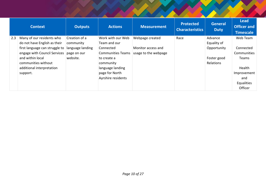|     | <b>Context</b>                                                 | <b>Outputs</b>                  | <b>Actions</b>                        | <b>Measurement</b>                         | <b>Protected</b><br><b>Characteristics</b> | General<br><b>Duty</b>   | <b>Lead</b><br><b>Officer and</b><br><b>Timescale</b> |
|-----|----------------------------------------------------------------|---------------------------------|---------------------------------------|--------------------------------------------|--------------------------------------------|--------------------------|-------------------------------------------------------|
| 2.3 | Many of our residents who<br>do not have English as their      | Creation of a<br>community      | Work with our Web<br>Team and our     | Webpage created                            | Race                                       | Advance<br>Equality of   | Web Team                                              |
|     | first language can struggle to<br>engage with Council Services | language landing<br>page on our | Connected<br><b>Communities Teams</b> | Monitor access and<br>usage to the webpage |                                            | Opportunity              | Connected<br>Communities                              |
|     | and within local<br>communities without                        | website.                        | to create a<br>community              |                                            |                                            | Foster good<br>Relations | Teams                                                 |
|     | additional interpretation<br>support.                          |                                 | language landing<br>page for North    |                                            |                                            |                          | Health<br>Improvement                                 |
|     |                                                                |                                 | Ayrshire residents                    |                                            |                                            |                          | and<br>Equalities<br>Officer                          |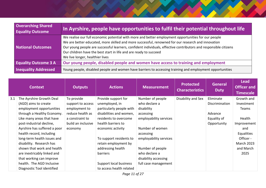| <b>Overarching Shared</b><br><b>Equality Outcome</b> | In Ayrshire, people have opportunities to fulfil their potential throughout life                                                                                                                                                                                                                                                                                                                                                      |
|------------------------------------------------------|---------------------------------------------------------------------------------------------------------------------------------------------------------------------------------------------------------------------------------------------------------------------------------------------------------------------------------------------------------------------------------------------------------------------------------------|
| <b>National Outcomes</b>                             | We realise our full economic potential with more and better employment opportunities for our people<br>We are better educated, more skilled and more successful, renowned for our research and innovation<br>Our young people are successful learners, confident individuals, effective contributors and responsible citizens<br>Our children have the best start in life and are ready to succeed<br>We live longer, healthier lives |
| <b>Equality Outcome 3 A</b>                          | Our young people, disabled people and women have access to training and employment                                                                                                                                                                                                                                                                                                                                                    |
| <b>Inequality Addressed</b>                          | Young people, disabled people and women have barriers to accessing training and employment opportunities                                                                                                                                                                                                                                                                                                                              |

|     | <b>Context</b>               | <b>Outputs</b>     | <b>Actions</b>           | <b>Measurement</b>     | <b>Protected</b><br><b>Characteristics</b> | General<br><b>Duty</b> | <b>Lead</b><br><b>Officer and</b><br><b>Timescale</b> |
|-----|------------------------------|--------------------|--------------------------|------------------------|--------------------------------------------|------------------------|-------------------------------------------------------|
| 3.1 | The Ayrshire Growth Deal     | To provide         | Provide support for      | Number of people       | Disability and Sex                         | Eliminate              | Growth and                                            |
|     | (AGD) aims to create         | support to access  | unemployed, in           | who declare a          |                                            | Discrimination         | Investment                                            |
|     | employment opportunities     | employment to      | particularly people with | disability             |                                            |                        | Teams                                                 |
|     | through a Healthy Economy.   | reduce health as   | disabilities and women,  | accessing              |                                            | Advance                |                                                       |
|     | Like many areas that have    | a constraint to    | residents to overcome    | employability services |                                            | Equality of            | Health                                                |
|     | post-industrial decline,     | build an inclusive | health barriers to       |                        |                                            | Opportunity            | Improvement                                           |
|     | Ayrshire has suffered a poor | economy            | economic activity        | Number of women        |                                            |                        | and                                                   |
|     | health record, including     |                    |                          | accessing              |                                            |                        | Equalities                                            |
|     | long-term health issues and  |                    | To support residents to  | employability services |                                            |                        | Officer -                                             |
|     | disability. Research has     |                    | retain employment by     |                        |                                            |                        | <b>March 2023</b>                                     |
|     | shown that work and health   |                    | addressing health        | Number of people       |                                            |                        | and March                                             |
|     | are inextricably linked and  |                    | barriers                 | who declare a          |                                            |                        | 2025                                                  |
|     | that working can improve     |                    |                          | disability accessing   |                                            |                        |                                                       |
|     | health. The AGD Inclusive    |                    | Support local business   | full case management   |                                            |                        |                                                       |
|     | Diagnostic Tool identified   |                    | to access health related |                        |                                            |                        |                                                       |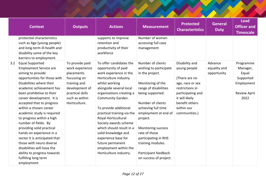| <b>Context</b>                                                                                                                                                                                                                                                                                                                                                                                                                                                                                                                                                                                            | <b>Outputs</b>                                                                                                                                            | <b>Actions</b>                                                                                                                                                                                                                                                                                                                                                                                                                                          | <b>Measurement</b>                                                                                                                                                                                                                                                                                                                                     | <b>Protected</b><br><b>Characteristics</b>                                                                                                                                     | <b>General</b><br><b>Duty</b>          | Lead<br><b>Officer and</b><br><b>Timescale</b>                                           |
|-----------------------------------------------------------------------------------------------------------------------------------------------------------------------------------------------------------------------------------------------------------------------------------------------------------------------------------------------------------------------------------------------------------------------------------------------------------------------------------------------------------------------------------------------------------------------------------------------------------|-----------------------------------------------------------------------------------------------------------------------------------------------------------|---------------------------------------------------------------------------------------------------------------------------------------------------------------------------------------------------------------------------------------------------------------------------------------------------------------------------------------------------------------------------------------------------------------------------------------------------------|--------------------------------------------------------------------------------------------------------------------------------------------------------------------------------------------------------------------------------------------------------------------------------------------------------------------------------------------------------|--------------------------------------------------------------------------------------------------------------------------------------------------------------------------------|----------------------------------------|------------------------------------------------------------------------------------------|
| protected characteristics<br>such as Age (young people)<br>and long-term ill-health and<br>disability some of the key<br>barriers to employment.                                                                                                                                                                                                                                                                                                                                                                                                                                                          |                                                                                                                                                           | supports to improve<br>retention and<br>productivity of their<br>workforce                                                                                                                                                                                                                                                                                                                                                                              | Number of women<br>accessing full case<br>management                                                                                                                                                                                                                                                                                                   |                                                                                                                                                                                |                                        |                                                                                          |
| <b>Equal Supported</b><br>3.2<br><b>Employment Service are</b><br>aiming to provide<br>opportunities for those with<br>Disabilities where their<br>academic achievement has<br>been prohibitive to their<br>career development. It is<br>accepted that to progress<br>within a chosen career<br>academic study is required<br>to progress within a high<br>number of fields. By<br>providing solid practical<br>hands on experience in a<br>sector it is anticipated that<br>those with neuro diverse<br>disabilities will have the<br>ability to progress towards<br>fulfilling long term<br>employment. | To provide paid<br>work experience<br>placements<br>focussing on<br>training and<br>development of<br>practical skills<br>such as within<br>Horticulture. | To offer candidates the<br>opportunity of paid<br>work experience in the<br>Horticulture industry<br>whilst working<br>alongside several local<br>organisations creating a<br>Community Garden.<br>To provide additional<br>practical training via the<br>Royal Horticultural<br>Society awards scheme<br>which should result in a<br>solid knowledge and<br>experience base for<br>future permanent<br>employment within the<br>Horticulture industry. | Number of clients<br>wishing to participate<br>in the project.<br>Monitoring of the<br>range of disabilities<br>being supported.<br>Number of clients<br>achieving full time<br>employment at end of<br>project.<br>Monitoring success<br>rate of those<br>participating in RHS<br>training modules.<br>Participant feedback<br>on success of project. | Disability and<br>young people<br>(There are no<br>age, race or sex<br>restrictions in<br>participating and<br>it will likely<br>benefit others<br>within our<br>communities.) | Advance<br>equality and<br>opportunity | Programme<br>Manager,<br>Equal<br>Supported<br>Employment<br><b>Review April</b><br>2022 |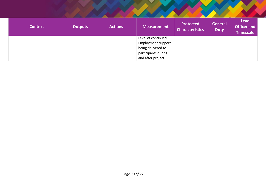| <b>Context</b> | <b>Outputs</b> | <b>Actions</b> | <b>Measurement</b>                                                                                                 | <b>Protected</b><br><b>Characteristics</b> | <b>General</b><br><b>Duty</b> | <b>Lead</b><br><b>Officer and</b><br><b>Timescale</b> |
|----------------|----------------|----------------|--------------------------------------------------------------------------------------------------------------------|--------------------------------------------|-------------------------------|-------------------------------------------------------|
|                |                |                | Level of continued<br><b>Employment support</b><br>being delivered to<br>participants during<br>and after project. |                                            |                               |                                                       |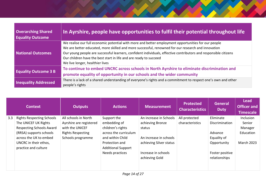| <b>Overarching Shared</b><br><b>Equality Outcome</b> | In Ayrshire, people have opportunities to fulfil their potential throughout life                                                                                                                                                                                                                                                                                                                                                      |
|------------------------------------------------------|---------------------------------------------------------------------------------------------------------------------------------------------------------------------------------------------------------------------------------------------------------------------------------------------------------------------------------------------------------------------------------------------------------------------------------------|
| <b>National Outcomes</b>                             | We realise our full economic potential with more and better employment opportunities for our people<br>We are better educated, more skilled and more successful, renowned for our research and innovation<br>Our young people are successful learners, confident individuals, effective contributors and responsible citizens<br>Our children have the best start in life and are ready to succeed<br>We live longer, healthier lives |
| <b>Equality Outcome 3 B</b>                          | To continue to embed UNCRC across schools in North Ayrshire to eliminate discrimination and<br>promote equality of opportunity in our schools and the wider community                                                                                                                                                                                                                                                                 |
| <b>Inequality Addressed</b>                          | There is a lack of a shared understanding of everyone's rights and a commitment to respect one's own and other<br>people's rights                                                                                                                                                                                                                                                                                                     |

|     | <b>Context</b>                   | <b>Outputs</b>           | <b>Actions</b>            | <b>Measurement</b>      | <b>Protected</b><br><b>Characteristics</b> | General<br><b>Duty</b> | <b>Lead</b><br><b>Officer and</b><br><b>Timescale</b> |
|-----|----------------------------------|--------------------------|---------------------------|-------------------------|--------------------------------------------|------------------------|-------------------------------------------------------|
| 3.3 | <b>Rights Respecting Schools</b> | All schools in North     | Support the               | An increase in Schools  | All protected                              | Eliminate              | Inclusion                                             |
|     | The UNICEF UK Rights             | Ayrshire are registered  | embedding of              | achieving Bronze        | characteristics                            | Discrimination         | Senior                                                |
|     | <b>Respecting Schools Award</b>  | with the UNICEF          | children's rights         | status                  |                                            |                        | Manager                                               |
|     | (RRSA) supports schools          | <b>Rights Respecting</b> | across the curriculum     |                         |                                            | Advance                | Education                                             |
|     | across the UK to embed           | Schools programme        | and within Child          | An increase in schools  |                                            | Equality of            |                                                       |
|     | UNCRC in their ethos,            |                          | Protection and            | achieving Silver status |                                            | Opportunity            | <b>March 2023</b>                                     |
|     | practice and culture             |                          | <b>Additional Support</b> |                         |                                            |                        |                                                       |
|     |                                  |                          | Needs practices           | Increase in schools     |                                            | Foster positive        |                                                       |
|     |                                  |                          |                           | achieving Gold          |                                            | relationships          |                                                       |
|     |                                  |                          |                           |                         |                                            |                        |                                                       |
|     |                                  |                          |                           |                         |                                            |                        |                                                       |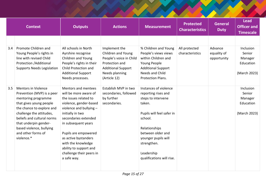| <b>Context</b> |                                                                                                                                         | <b>Outputs</b>                                                                                                             | <b>Actions</b>                                                                | <b>Measurement</b>                                                                | <b>Protected</b><br><b>Characteristics</b> | <b>General</b><br><b>Duty</b>         | <b>Lead</b><br><b>Officer and</b><br><b>Timescale</b> |
|----------------|-----------------------------------------------------------------------------------------------------------------------------------------|----------------------------------------------------------------------------------------------------------------------------|-------------------------------------------------------------------------------|-----------------------------------------------------------------------------------|--------------------------------------------|---------------------------------------|-------------------------------------------------------|
| 3.4            | Promote Children and<br>Young People's rights in<br>line with revised Child                                                             | All schools in North<br>Ayrshire recognise<br>Children and Young                                                           | Implement the<br>Children and Young<br>People's voice in Child                | % Children and Young<br>People's views views<br>within Children and               | All protected<br>characteristics           | Advance<br>equality of<br>opportunity | Inclusion<br>Senior<br>Manager                        |
|                | Protection / Additional<br><b>Supports Needs Legislation</b>                                                                            | People's rights in their<br>Child Protection and<br><b>Additional Support</b><br>Needs processes.                          | Protection and<br><b>Additional Support</b><br>Needs planning<br>(Article 12) | Young People<br><b>Additional Support</b><br>Needs and Child<br>Protection Plans. |                                            |                                       | Education<br>(March 2023)                             |
| 3.5            | <b>Mentors in Violence</b><br>Prevention (MVP) is a peer<br>mentoring programme<br>that gives young people<br>the chance to explore and | Mentors and mentees<br>will be more aware of<br>the issues related to<br>violence, gender-based<br>violence and bullying - | Establish MVP in two<br>secondaries, followed<br>by further<br>secondaries.   | Instances of violence<br>reporting rises and<br>steps to intervene<br>taken.      |                                            |                                       | Inclusion<br>Senior<br>Manager<br>Education           |
|                | challenge the attitudes,<br>beliefs and cultural norms<br>that underpin gender-<br>based violence, bullying<br>and other forms of       | initially in two<br>secondaries extended<br>in subsequent years<br>Pupils are empowered                                    |                                                                               | Pupils will feel safer in<br>school.<br>Relationships<br>between older and        |                                            |                                       | (March 2023)                                          |
|                | violence.*                                                                                                                              | as active bystanders<br>with the knowledge<br>ability to support and<br>challenge their peers in                           |                                                                               | younger pupils will<br>strengthen.<br>Leadership                                  |                                            |                                       |                                                       |
|                |                                                                                                                                         | a safe way.                                                                                                                |                                                                               | qualifications will rise.                                                         |                                            |                                       |                                                       |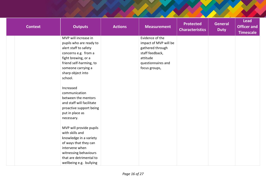| <b>Context</b> | <b>Outputs</b>                                                                                                                             | <b>Actions</b> | <b>Measurement</b>                       | <b>Protected</b><br><b>Characteristics</b> | <b>General</b><br><b>Duty</b> | <b>Lead</b><br><b>Officer and</b><br><b>Timescale</b> |
|----------------|--------------------------------------------------------------------------------------------------------------------------------------------|----------------|------------------------------------------|--------------------------------------------|-------------------------------|-------------------------------------------------------|
|                | MVP will increase in<br>pupils who are ready to                                                                                            |                | Evidence of the<br>impact of MVP will be |                                            |                               |                                                       |
|                | alert staff to safety                                                                                                                      |                | gathered through                         |                                            |                               |                                                       |
|                | concerns e.g. from a                                                                                                                       |                | staff feedback,                          |                                            |                               |                                                       |
|                | fight brewing, or a                                                                                                                        |                | attitude                                 |                                            |                               |                                                       |
|                | friend self-harming, to                                                                                                                    |                | questionnaires and                       |                                            |                               |                                                       |
|                | someone carrying a                                                                                                                         |                | focus groups,                            |                                            |                               |                                                       |
|                | sharp object into                                                                                                                          |                |                                          |                                            |                               |                                                       |
|                | school.                                                                                                                                    |                |                                          |                                            |                               |                                                       |
|                | Increased<br>communication<br>between the mentors<br>and staff will facilitate<br>proactive support being<br>put in place as<br>necessary. |                |                                          |                                            |                               |                                                       |
|                | MVP will provide pupils                                                                                                                    |                |                                          |                                            |                               |                                                       |
|                | with skills and                                                                                                                            |                |                                          |                                            |                               |                                                       |
|                | knowledge in a variety                                                                                                                     |                |                                          |                                            |                               |                                                       |
|                | of ways that they can                                                                                                                      |                |                                          |                                            |                               |                                                       |
|                | intervene when                                                                                                                             |                |                                          |                                            |                               |                                                       |
|                | witnessing behaviours<br>that are detrimental to                                                                                           |                |                                          |                                            |                               |                                                       |
|                | wellbeing e.g. bullying                                                                                                                    |                |                                          |                                            |                               |                                                       |
|                |                                                                                                                                            |                |                                          |                                            |                               |                                                       |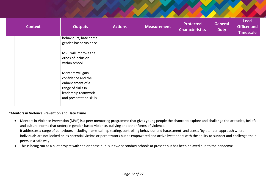| <b>Context</b> | <b>Outputs</b>                                                       | <b>Actions</b> | <b>Measurement</b> | <b>Protected</b><br><b>Characteristics</b> | <b>General</b><br><b>Duty</b> | Lead<br><b>Officer and</b><br><b>Timescale</b> |
|----------------|----------------------------------------------------------------------|----------------|--------------------|--------------------------------------------|-------------------------------|------------------------------------------------|
|                | behaviours, hate crime<br>gender-based violence.                     |                |                    |                                            |                               |                                                |
|                | MVP will improve the<br>ethos of inclusion<br>within school.         |                |                    |                                            |                               |                                                |
|                | Mentors will gain<br>confidence and the<br>enhancement of a          |                |                    |                                            |                               |                                                |
|                | range of skills in<br>leadership teamwork<br>and presentation skills |                |                    |                                            |                               |                                                |

#### **\*Mentors in Violence Prevention and Hate Crime**

- Mentors in Violence Prevention (MVP) is a peer mentoring programme that gives young people the chance to explore and challenge the attitudes, beliefs and cultural norms that underpin gender-based violence, bullying and other forms of violence. It addresses a range of behaviours including name-calling, sexting, controlling behaviour and harassment, and uses a 'by-stander' approach where individuals are not looked on as potential victims or perpetrators but as empowered and active bystanders with the ability to support and challenge their peers in a safe way.
- This is being run as a pilot project with senior phase pupils in two secondary schools at present but has been delayed due to the pandemic.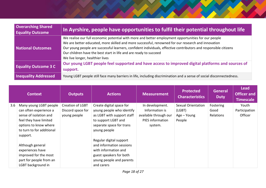| <b>Overarching Shared</b><br><b>Equality Outcome</b> | In Ayrshire, people have opportunities to fulfil their potential throughout life                                                                                                                                                                                                                                                                                                                                                      |
|------------------------------------------------------|---------------------------------------------------------------------------------------------------------------------------------------------------------------------------------------------------------------------------------------------------------------------------------------------------------------------------------------------------------------------------------------------------------------------------------------|
| National Outcomes                                    | We realise our full economic potential with more and better employment opportunities for our people<br>We are better educated, more skilled and more successful, renowned for our research and innovation<br>Our young people are successful learners, confident individuals, effective contributors and responsible citizens<br>Our children have the best start in life and are ready to succeed<br>We live longer, healthier lives |
| <b>Equality Outcome 3 C</b>                          | Our young LGBT people feel supported and have access to improved digital platforms and sources of<br>support.                                                                                                                                                                                                                                                                                                                         |
| <b>Inequality Addressed</b>                          | Young LGBT people still face many barriers in life, including discrimination and a sense of social disconnectedness.                                                                                                                                                                                                                                                                                                                  |

|     | <b>Context</b>                                                                                                                                                                                                                                                                           | <b>Outputs</b>                                               | <b>Actions</b>                                                                                                                                                                                                                                                                                             | <b>Measurement</b>                                                                               | <b>Protected</b><br><b>Characteristics</b>                   | <b>General</b><br><b>Duty</b>  | <b>Lead</b><br><b>Officer and</b><br><b>Timescale</b> |
|-----|------------------------------------------------------------------------------------------------------------------------------------------------------------------------------------------------------------------------------------------------------------------------------------------|--------------------------------------------------------------|------------------------------------------------------------------------------------------------------------------------------------------------------------------------------------------------------------------------------------------------------------------------------------------------------------|--------------------------------------------------------------------------------------------------|--------------------------------------------------------------|--------------------------------|-------------------------------------------------------|
| 3.6 | Many young LGBT people<br>can often experience a<br>sense of isolation and<br>feel they have limited<br>options to know where<br>to turn to for additional<br>support.<br>Although general<br>experiences have<br>improved for the most<br>part for people from an<br>LGBT background in | <b>Creation of LGBT</b><br>Discord space for<br>young people | Create digital space for<br>young people who identify<br>as LGBT with support staff<br>to support LGBT and<br>separate space for trans<br>young people<br>Regular digital support<br>and information sessions<br>with information and<br>guest speakers for both<br>young people and parents<br>and carers | In development.<br>Information is<br>available through our<br><b>PIES</b> information<br>system. | <b>Sexual Orientation</b><br>(LGBT)<br>Age - Young<br>People | Fostering<br>Good<br>Relations | Youth<br>Participation<br>Officer                     |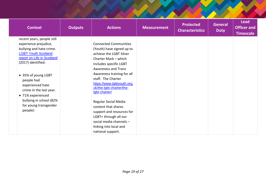| <b>Context</b>                                                                                                                                                                                                                                                                                                                            | <b>Outputs</b> | <b>Actions</b>                                                                                                                                                                                                                                                                                                                                                                                                                      | <b>Measurement</b> | <b>Protected</b><br><b>Characteristics</b> | <b>General</b><br><b>Duty</b> | <b>Lead</b><br><b>Officer and</b><br><b>Timescale</b> |
|-------------------------------------------------------------------------------------------------------------------------------------------------------------------------------------------------------------------------------------------------------------------------------------------------------------------------------------------|----------------|-------------------------------------------------------------------------------------------------------------------------------------------------------------------------------------------------------------------------------------------------------------------------------------------------------------------------------------------------------------------------------------------------------------------------------------|--------------------|--------------------------------------------|-------------------------------|-------------------------------------------------------|
| recent years, people still<br>experience prejudice,<br>bullying and hate crime.<br><b>LGBT Youth Scotland</b><br>report on Life in Scotland<br>(2017) identified:<br>• 35% of young LGBT<br>people had<br>experienced hate<br>crime in the last year.<br>• 71% experienced<br>bullying in school (82%<br>for young transgender<br>people) |                | <b>Connected Communities</b><br>(Youth) have signed up to<br>achieve the LGBT Silver<br>Charter Mark - which<br>includes specific LGBT<br><b>Awareness and Trans</b><br>Awareness training for all<br>staff. The Charter<br>https://www.lgbtyouth.org.<br>uk/the-lgbt-charter/the-<br>lgbt-charter/<br>Regular Social Media<br>content that shares<br>support and resources for<br>LGBT+ through all our<br>social media channels - |                    |                                            |                               |                                                       |
|                                                                                                                                                                                                                                                                                                                                           |                | linking into local and<br>national support.                                                                                                                                                                                                                                                                                                                                                                                         |                    |                                            |                               |                                                       |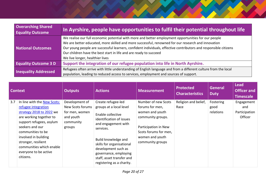| <b>Overarching Shared</b><br><b>Equality Outcome</b> | In Ayrshire, people have opportunities to fulfil their potential throughout life                                                                                                                                                                                                                                                                                                                                                      |
|------------------------------------------------------|---------------------------------------------------------------------------------------------------------------------------------------------------------------------------------------------------------------------------------------------------------------------------------------------------------------------------------------------------------------------------------------------------------------------------------------|
| <b>National Outcomes</b>                             | We realise our full economic potential with more and better employment opportunities for our people<br>We are better educated, more skilled and more successful, renowned for our research and innovation<br>Our young people are successful learners, confident individuals, effective contributors and responsible citizens<br>Our children have the best start in life and are ready to succeed<br>We live longer, healthier lives |
| <b>Equality Outcome 3 D</b>                          | Support the integration of our refugee population into life in North Ayrshire.                                                                                                                                                                                                                                                                                                                                                        |
| <b>Inequality Addressed</b>                          | Refugees often arrive with little understanding of English language and from a different culture from the local<br>population, leading to reduced access to services, employment and sources of support.                                                                                                                                                                                                                              |

|     | <b>Context</b>                                                                                                                                                                                                                                                                                 | <b>Outputs</b>                                                                           | <b>Actions</b>                                                                                                                                                                                                                                                                                   | <b>Measurement</b>                                                                                                                                                     | <b>Protected</b><br><b>Characteristics</b> | <b>General</b><br><b>Duty</b>  | <b>Lead</b><br><b>Officer and</b><br><b>Timescale</b> |
|-----|------------------------------------------------------------------------------------------------------------------------------------------------------------------------------------------------------------------------------------------------------------------------------------------------|------------------------------------------------------------------------------------------|--------------------------------------------------------------------------------------------------------------------------------------------------------------------------------------------------------------------------------------------------------------------------------------------------|------------------------------------------------------------------------------------------------------------------------------------------------------------------------|--------------------------------------------|--------------------------------|-------------------------------------------------------|
| 3.7 | In line with the New Scots:<br>refugee integration<br>strategy 2018 to 2022 we<br>are working together to<br>support refugees, asylum<br>seekers and our<br>communities to be<br>involved in building<br>stronger, resilient<br>communities which enable<br>everyone to be active<br>citizens. | Development of<br>New Scots forums<br>for men, women<br>and youth<br>community<br>groups | Create refugee-led<br>groups at a local level<br>Enable collective<br>identification of issues<br>and engagement with<br>services.<br>Build knowledge and<br>skills for organisational<br>development such as<br>governance, employing<br>staff, asset transfer and<br>registering as a charity. | Number of new Scots<br>forums for men,<br>women and youth<br>community groups.<br>Participation in New<br>Scots forums for men,<br>women and youth<br>community groups | Religion and belief,<br>Race               | Fostering<br>good<br>relations | Engagement<br>and<br>Participation<br>Officer         |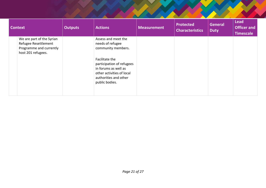| <b>Context</b>                                                                                     | <b>Outputs</b> | <b>Actions</b>                                                                                                                              | <b>Measurement</b> | <b>Protected</b><br><b>Characteristics</b> | <b>General</b><br><b>Duty</b> | <b>Lead</b><br><b>Officer and</b><br><b>Timescale</b> |
|----------------------------------------------------------------------------------------------------|----------------|---------------------------------------------------------------------------------------------------------------------------------------------|--------------------|--------------------------------------------|-------------------------------|-------------------------------------------------------|
| We are part of the Syrian<br>Refugee Resettlement<br>Programme and currently<br>host 201 refugees. |                | Assess and meet the<br>needs of refugee<br>community members.                                                                               |                    |                                            |                               |                                                       |
|                                                                                                    |                | Facilitate the<br>participation of refugees<br>in forums as well as<br>other activities of local<br>authorities and other<br>public bodies. |                    |                                            |                               |                                                       |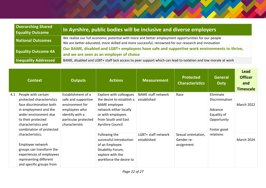| <b>Overarching Shared</b><br><b>Equality Outcome</b> | In Ayrshire, public bodies will be inclusive and diverse employers                                                                                                                                        |
|------------------------------------------------------|-----------------------------------------------------------------------------------------------------------------------------------------------------------------------------------------------------------|
| <b>National Outcomes</b>                             | We realise our full economic potential with more and better employment opportunities for our people<br>We are better educated, more skilled and more successful, renowned for our research and innovation |
| <b>Equality Outcome 4A</b>                           | Our BAME, disabled and LGBT+ employees have safe and supportive work environments to thrive,<br>and we are seen as an employer of choice                                                                  |
| <b>Inequality Addressed</b>                          | BAME, disabled and LGBT+ staff lack access to peer support which can lead to isolation and low morale at work                                                                                             |

|     | <b>Context</b>                                        | <b>Outputs</b>                         | <b>Actions</b>                                    | <b>Measurement</b>        | <b>Protected</b><br><b>Characteristics</b> | <b>General</b><br><b>Duty</b> | <b>Lead</b><br><b>Officer</b><br>and<br><b>Timescale</b> |
|-----|-------------------------------------------------------|----------------------------------------|---------------------------------------------------|---------------------------|--------------------------------------------|-------------------------------|----------------------------------------------------------|
| 4.1 | People with certain                                   | Establishment of a                     | Explore with colleagues                           | <b>BAME</b> staff network | Race                                       | Eliminate                     |                                                          |
|     | protected characteristics<br>face discrimination both | safe and supportive<br>environment for | the desire to establish a<br><b>BAME</b> employee | established               |                                            | Discrimination                | <b>March 2022</b>                                        |
|     | in employment and the                                 | employees who                          | network either locally                            |                           |                                            | Advance                       |                                                          |
|     | wider environment due                                 | identify with a                        | or with employees                                 |                           |                                            | Equality of                   |                                                          |
|     | to their protected                                    | particular protected                   | from South and East                               |                           |                                            | Opportunity                   |                                                          |
|     | characteristics and                                   | characteristic                         | Ayrshire Council                                  |                           |                                            |                               |                                                          |
|     | combination of protected<br>characteristics.          |                                        | Following the                                     | LGBT+ staff network       |                                            | Foster good<br>relations      |                                                          |
|     |                                                       |                                        | successful introduction                           | established               | Sexual orientation,<br>Gender re-          |                               | March 2024                                               |
|     | Employee network                                      |                                        | of an Employee                                    |                           | assignment                                 |                               |                                                          |
|     | groups can transform the                              |                                        | Disability Forum,                                 |                           |                                            |                               |                                                          |
|     | experiences of employees                              |                                        | explore with the                                  |                           |                                            |                               |                                                          |
|     | representing different                                |                                        | workforce the desire to                           |                           |                                            |                               |                                                          |
|     | and specific groups from                              |                                        |                                                   |                           |                                            |                               |                                                          |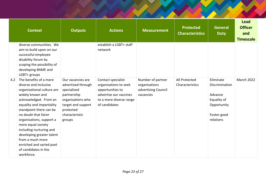|     | <b>Context</b>                                                                                                                                                                                                                                                                                                                                                                                             | <b>Outputs</b>                                                                                                                                            | <b>Actions</b>                                                                                                                        | <b>Measurement</b>                                                     | <b>Protected</b><br><b>Characteristics</b> | <b>General</b><br><b>Duty</b>                                                                    | <b>Lead</b><br><b>Officer</b><br>and<br><b>Timescale</b> |
|-----|------------------------------------------------------------------------------------------------------------------------------------------------------------------------------------------------------------------------------------------------------------------------------------------------------------------------------------------------------------------------------------------------------------|-----------------------------------------------------------------------------------------------------------------------------------------------------------|---------------------------------------------------------------------------------------------------------------------------------------|------------------------------------------------------------------------|--------------------------------------------|--------------------------------------------------------------------------------------------------|----------------------------------------------------------|
|     | diverse communities. We<br>aim to build upon on our<br>successful employee<br>disability forum by<br>scoping the possibility of<br>developing BAME and<br>LGBT+ groups                                                                                                                                                                                                                                     |                                                                                                                                                           | establish a LGBT+ staff<br>network                                                                                                    |                                                                        |                                            |                                                                                                  |                                                          |
| 4.2 | The benefits of a more<br>diverse and inclusive<br>organisational culture are<br>widely known and<br>acknowledged. From an<br>equality and impartiality<br>standpoint there can be<br>no doubt that fairer<br>organisations, support a<br>more equal society<br>including nurturing and<br>developing greater talent<br>from a much more<br>enriched and varied pool<br>of candidates in the<br>workforce. | Our vacancies are<br>advertised through<br>specialised<br>partnership<br>organisations who<br>target and support<br>protected<br>characteristic<br>groups | Contact specialist<br>organisations to seek<br>opportunities to<br>advertise our vaccines<br>to a more diverse range<br>of candidates | Number of partner<br>organisations<br>advertising Council<br>vacancies | All Protected<br>Characteristics           | Eliminate<br>Discrimination<br>Advance<br>Equality of<br>Opportunity<br>Foster good<br>relations | <b>March 2022</b>                                        |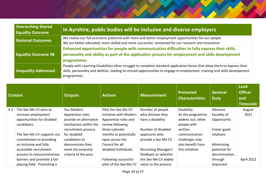| <b>Overarching Shared</b><br><b>Equality Outcome</b> | In Ayrshire, public bodies will be inclusive and diverse employers                                                                                                                                                                                                     |
|------------------------------------------------------|------------------------------------------------------------------------------------------------------------------------------------------------------------------------------------------------------------------------------------------------------------------------|
| National Outcomes                                    | We realise our full economic potential with more and better employment opportunities for our people<br>We are better educated, more skilled and more successful, renowned for our research and innovation                                                              |
| <b>Equality Outcome 4B</b>                           | Enhanced opportunities for people with communication difficulties to fully express their skills,<br>personality and ability as part of the application process for employment and skills development<br>programmes.                                                    |
| <b>Inequality Addressed</b>                          | People with Learning Disabilities often struggle to complete standard application forms that allow them to express their<br>skills, personality and abilities, leading to missed opportunities to engage in employment, training and skills development<br>programmes. |

| <b>Context</b> |                             | <b>Outputs</b>         | <b>Actions</b>         | <b>Measurement</b>   | <b>Protected</b><br><b>Characteristics</b> | <b>General</b><br><b>Duty</b> | <b>Lead</b><br><b>Officer</b><br>and<br><b>Timescale</b> |
|----------------|-----------------------------|------------------------|------------------------|----------------------|--------------------------------------------|-------------------------------|----------------------------------------------------------|
| 4.3            | The See Me CV aims to       | Our Modern             | Pilot the See Me CV    | Number of people     | Disability;                                | Advance                       | August                                                   |
|                | increase employment         | Apprentice roles       | initiative with Modern | who disclose they    | As the programme                           | Equality of                   | 2021                                                     |
|                | opportunities for disabled  | provide an alternative | Apprentice roles and   | have a disability    | widens out, other                          | Opportunity                   |                                                          |
|                | candidates.                 | mechanism within the   | review following       |                      | people with                                |                               |                                                          |
|                |                             | recruitment process    | three calendar         | Number of disabled   | written                                    | Foster good                   |                                                          |
|                | The See Me CV supports our  | for disabled           | months to potentially  | applicants who       | communication                              | relations                     |                                                          |
|                | commitment to providing     | candidates to          | open across the        | provide a See Me CV  | challenges may                             |                               |                                                          |
|                | an inclusive and fully      | demonstrate they       | Council for all        |                      | also benefit from                          | Minimising                    |                                                          |
|                | accessible recruitment      | meet the essential     | disabled individuals.  | Recruiting Managers' | this initiative                            | potential for                 |                                                          |
|                | process to reduce/minimise  | criteria of the post.  |                        | feedback on whether  |                                            | discrimination,               |                                                          |
|                | barriers and promote a fair |                        | Following successful   | the See Me CV added  |                                            | through                       | April 2022                                               |
|                | playing field. Promoting a  |                        | pilot of the See Me CV | value to the process |                                            | improved                      |                                                          |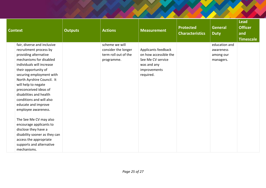| <b>Context</b>                                                                                                                                                                                                                                                                                                                                                                                                                                                                                                                                                   | <b>Outputs</b> | <b>Actions</b>                                                              | <b>Measurement</b>                                                                                            | <b>Protected</b><br><b>Characteristics</b> | <b>General</b><br><b>Duty</b>                        | <b>Lead</b><br><b>Officer</b><br>and<br><b>Timescale</b> |
|------------------------------------------------------------------------------------------------------------------------------------------------------------------------------------------------------------------------------------------------------------------------------------------------------------------------------------------------------------------------------------------------------------------------------------------------------------------------------------------------------------------------------------------------------------------|----------------|-----------------------------------------------------------------------------|---------------------------------------------------------------------------------------------------------------|--------------------------------------------|------------------------------------------------------|----------------------------------------------------------|
| fair, diverse and inclusive<br>recruitment process by<br>providing alternative<br>mechanisms for disabled<br>individuals will increase<br>their opportunity of<br>securing employment with<br>North Ayrshire Council. It<br>will help to negate<br>preconceived ideas of<br>disabilities and health<br>conditions and will also<br>educate and improve<br>employee awareness.<br>The See Me CV may also<br>encourage applicants to<br>disclose they have a<br>disability sooner as they can<br>access the appropriate<br>supports and alternative<br>mechanisms. |                | scheme we will<br>consider the longer<br>term roll out of the<br>programme. | Applicants feedback<br>on how accessible the<br>See Me CV service<br>was and any<br>improvements<br>required. |                                            | education and<br>awareness<br>among our<br>managers. |                                                          |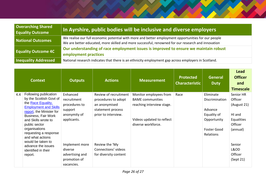| <b>Overarching Shared</b><br><b>Equality Outcome</b> | In Ayrshire, public bodies will be inclusive and diverse employers                                                                                                                                        |
|------------------------------------------------------|-----------------------------------------------------------------------------------------------------------------------------------------------------------------------------------------------------------|
| <b>National Outcomes</b>                             | We realise our full economic potential with more and better employment opportunities for our people<br>We are better educated, more skilled and more successful, renowned for our research and innovation |
| <b>Equality Outcome 4C</b>                           | Our understanding of race employment issues is improved to ensure we maintain robust<br>employment practices                                                                                              |
| <b>Inequality Addressed</b>                          | National research indicates that there is an ethnicity employment gap across employers in Scotland.                                                                                                       |

|     | <b>Context</b>                                                                                                                                                                                                                                                                                                                                      | <b>Outputs</b>                                                                                                                                                   | <b>Actions</b>                                                                                                                                                              | <b>Measurement</b>                                                                                                                | <b>Protected</b><br><b>Characteristic</b> | <b>General</b><br><b>Duty</b>                                                                           | <b>Lead</b><br><b>Officer</b><br>and<br><b>Timescale</b>                                                                            |
|-----|-----------------------------------------------------------------------------------------------------------------------------------------------------------------------------------------------------------------------------------------------------------------------------------------------------------------------------------------------------|------------------------------------------------------------------------------------------------------------------------------------------------------------------|-----------------------------------------------------------------------------------------------------------------------------------------------------------------------------|-----------------------------------------------------------------------------------------------------------------------------------|-------------------------------------------|---------------------------------------------------------------------------------------------------------|-------------------------------------------------------------------------------------------------------------------------------------|
| 4.4 | Following publication<br>by the Scottish Govt of<br>the Race Equality,<br><b>Employment and Skills</b><br>report, the Minister for<br><b>Business, Fair Work</b><br>and Skills wrote to<br>public sector<br>organisations<br>requesting a response<br>and what actions<br>would be taken to<br>advance the issues<br>identified in their<br>report. | Enhanced<br>recruitment<br>procedures to<br>support<br>anonymity of<br>applicants.<br>Implement more<br>diverse<br>advertising and<br>promotion of<br>vacancies. | Review of recruitment<br>procedures to adopt<br>an anonymised<br>statement process<br>prior to interview.<br>Review the 'My<br>Connections' videos<br>for diversity content | Monitor employees from<br><b>BAME</b> communities<br>reaching interview stage.<br>Videos updated to reflect<br>diverse workforce. | Race                                      | Eliminate<br>Discrimination<br>Advance<br>Equality of<br>Opportunity<br><b>Foster Good</b><br>Relations | Senior HR<br><b>Officer</b><br>(August 21)<br>HI and<br>Equalities<br>Officer<br>(annual)<br>Senior<br>L&OD<br>Officer<br>(Sept 21) |